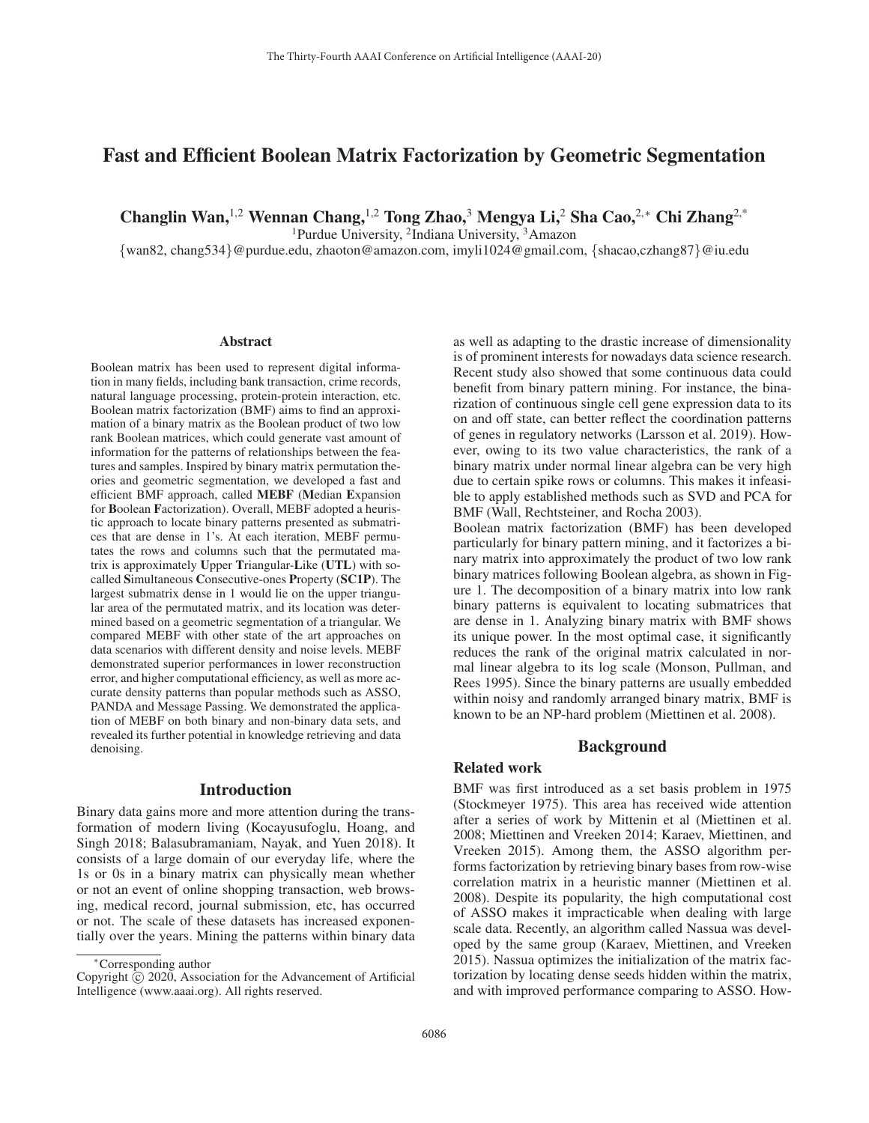# Fast and Efficient Boolean Matrix Factorization by Geometric Segmentation

Changlin Wan,<sup>1,2</sup> Wennan Chang,<sup>1,2</sup> Tong Zhao,<sup>3</sup> Mengya Li,<sup>2</sup> Sha Cao,<sup>2,∗</sup> Chi Zhang<sup>2,∗</sup>

1Purdue University, 2Indiana University, 3Amazon

{wan82, chang534}@purdue.edu, zhaoton@amazon.com, imyli1024@gmail.com, {shacao,czhang87}@iu.edu

#### Abstract

Boolean matrix has been used to represent digital information in many fields, including bank transaction, crime records, natural language processing, protein-protein interaction, etc. Boolean matrix factorization (BMF) aims to find an approximation of a binary matrix as the Boolean product of two low rank Boolean matrices, which could generate vast amount of information for the patterns of relationships between the features and samples. Inspired by binary matrix permutation theories and geometric segmentation, we developed a fast and efficient BMF approach, called MEBF (Median Expansion for Boolean Factorization). Overall, MEBF adopted a heuristic approach to locate binary patterns presented as submatrices that are dense in 1's. At each iteration, MEBF permutates the rows and columns such that the permutated matrix is approximately Upper Triangular-Like (UTL) with socalled Simultaneous Consecutive-ones Property (SC1P). The largest submatrix dense in 1 would lie on the upper triangular area of the permutated matrix, and its location was determined based on a geometric segmentation of a triangular. We compared MEBF with other state of the art approaches on data scenarios with different density and noise levels. MEBF demonstrated superior performances in lower reconstruction error, and higher computational efficiency, as well as more accurate density patterns than popular methods such as ASSO, PANDA and Message Passing. We demonstrated the application of MEBF on both binary and non-binary data sets, and revealed its further potential in knowledge retrieving and data denoising.

### Introduction

Binary data gains more and more attention during the transformation of modern living (Kocayusufoglu, Hoang, and Singh 2018; Balasubramaniam, Nayak, and Yuen 2018). It consists of a large domain of our everyday life, where the 1s or 0s in a binary matrix can physically mean whether or not an event of online shopping transaction, web browsing, medical record, journal submission, etc, has occurred or not. The scale of these datasets has increased exponentially over the years. Mining the patterns within binary data

as well as adapting to the drastic increase of dimensionality is of prominent interests for nowadays data science research. Recent study also showed that some continuous data could benefit from binary pattern mining. For instance, the binarization of continuous single cell gene expression data to its on and off state, can better reflect the coordination patterns of genes in regulatory networks (Larsson et al. 2019). However, owing to its two value characteristics, the rank of a binary matrix under normal linear algebra can be very high due to certain spike rows or columns. This makes it infeasible to apply established methods such as SVD and PCA for BMF (Wall, Rechtsteiner, and Rocha 2003).

Boolean matrix factorization (BMF) has been developed particularly for binary pattern mining, and it factorizes a binary matrix into approximately the product of two low rank binary matrices following Boolean algebra, as shown in Figure 1. The decomposition of a binary matrix into low rank binary patterns is equivalent to locating submatrices that are dense in 1. Analyzing binary matrix with BMF shows its unique power. In the most optimal case, it significantly reduces the rank of the original matrix calculated in normal linear algebra to its log scale (Monson, Pullman, and Rees 1995). Since the binary patterns are usually embedded within noisy and randomly arranged binary matrix, BMF is known to be an NP-hard problem (Miettinen et al. 2008).

### Background

# Related work

BMF was first introduced as a set basis problem in 1975 (Stockmeyer 1975). This area has received wide attention after a series of work by Mittenin et al (Miettinen et al. 2008; Miettinen and Vreeken 2014; Karaev, Miettinen, and Vreeken 2015). Among them, the ASSO algorithm performs factorization by retrieving binary bases from row-wise correlation matrix in a heuristic manner (Miettinen et al. 2008). Despite its popularity, the high computational cost of ASSO makes it impracticable when dealing with large scale data. Recently, an algorithm called Nassua was developed by the same group (Karaev, Miettinen, and Vreeken 2015). Nassua optimizes the initialization of the matrix factorization by locating dense seeds hidden within the matrix, and with improved performance comparing to ASSO. How-

<sup>∗</sup>Corresponding author

Copyright  $\odot$  2020, Association for the Advancement of Artificial Intelligence (www.aaai.org). All rights reserved.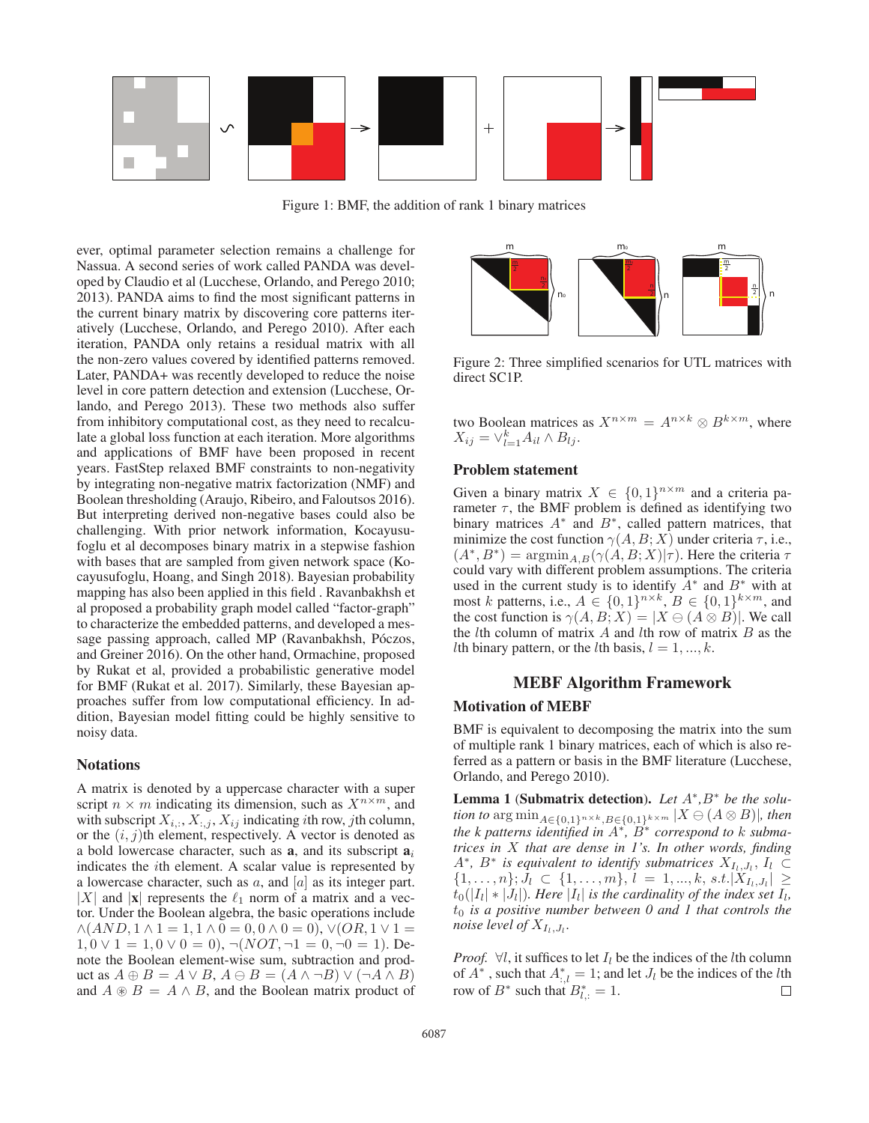

Figure 1: BMF, the addition of rank 1 binary matrices

ever, optimal parameter selection remains a challenge for Nassua. A second series of work called PANDA was developed by Claudio et al (Lucchese, Orlando, and Perego 2010; 2013). PANDA aims to find the most significant patterns in the current binary matrix by discovering core patterns iteratively (Lucchese, Orlando, and Perego 2010). After each iteration, PANDA only retains a residual matrix with all the non-zero values covered by identified patterns removed. Later, PANDA+ was recently developed to reduce the noise level in core pattern detection and extension (Lucchese, Orlando, and Perego 2013). These two methods also suffer from inhibitory computational cost, as they need to recalculate a global loss function at each iteration. More algorithms and applications of BMF have been proposed in recent years. FastStep relaxed BMF constraints to non-negativity by integrating non-negative matrix factorization (NMF) and Boolean thresholding (Araujo, Ribeiro, and Faloutsos 2016). But interpreting derived non-negative bases could also be challenging. With prior network information, Kocayusufoglu et al decomposes binary matrix in a stepwise fashion with bases that are sampled from given network space (Kocayusufoglu, Hoang, and Singh 2018). Bayesian probability mapping has also been applied in this field . Ravanbakhsh et al proposed a probability graph model called "factor-graph" to characterize the embedded patterns, and developed a message passing approach, called MP (Ravanbakhsh, Póczos, and Greiner 2016). On the other hand, Ormachine, proposed by Rukat et al, provided a probabilistic generative model for BMF (Rukat et al. 2017). Similarly, these Bayesian approaches suffer from low computational efficiency. In addition, Bayesian model fitting could be highly sensitive to noisy data.

#### **Notations**

A matrix is denoted by a uppercase character with a super script  $n \times m$  indicating its dimension, such as  $X^{n \times m}$ , and with subscript  $X_{i,:}, X_{i,j}, X_{ij}$  indicating *i*th row, *j*th column, or the  $(i, j)$ th element, respectively. A vector is denoted as a bold lowercase character, such as  $a_i$ , and its subscript  $a_i$ indicates the ith element. A scalar value is represented by a lowercase character, such as  $a$ , and  $[a]$  as its integer part. |X| and  $|x|$  represents the  $\ell_1$  norm of a matrix and a vector. Under the Boolean algebra, the basic operations include  $\wedge (AND, 1 \wedge 1 = 1, 1 \wedge 0 = 0, 0 \wedge 0 = 0), \vee (OR, 1 \vee 1 = 1)$  $1, 0 \vee 1 = 1, 0 \vee 0 = 0$ ,  $\neg (NOT, \neg 1 = 0, \neg 0 = 1)$ . Denote the Boolean element-wise sum, subtraction and product as  $A \oplus B = A \vee B$ ,  $A \ominus B = (A \wedge \neg B) \vee (\neg A \wedge B)$ and  $A \otimes B = A \wedge B$ , and the Boolean matrix product of



Figure 2: Three simplified scenarios for UTL matrices with direct SC1P.

two Boolean matrices as  $X^{n \times m} = A^{n \times k} \otimes B^{k \times m}$ , where  $X_{ij} = \vee_{l=1}^{k} A_{il} \wedge B_{lj}.$ 

# Problem statement

Given a binary matrix  $X \in \{0,1\}^{n \times m}$  and a criteria parameter  $\tau$ , the BMF problem is defined as identifying two binary matrices  $A^*$  and  $B^*$ , called pattern matrices, that minimize the cost function  $\gamma(A, B; X)$  under criteria  $\tau$ , i.e.,  $(A^*, B^*) = \operatorname{argmin}_{A, B} (\gamma(A, B; X)|\tau)$ . Here the criteria  $\tau$ could vary with different problem assumptions. The criteria used in the current study is to identify  $A^*$  and  $B^*$  with at most k patterns, i.e.,  $A \in \{0,1\}^{n \times k}$ ,  $B \in \{0,1\}^{k \times m}$ , and the cost function is  $\gamma(A, B; X) = |X \ominus (A \otimes B)|$ . We call the *l*th column of matrix  $A$  and *l*th row of matrix  $B$  as the *lth* binary pattern, or the *lth* basis,  $l = 1, ..., k$ .

# MEBF Algorithm Framework

#### Motivation of MEBF

BMF is equivalent to decomposing the matrix into the sum of multiple rank 1 binary matrices, each of which is also referred as a pattern or basis in the BMF literature (Lucchese, Orlando, and Perego 2010).

Lemma 1 (Submatrix detection). *Let* A<sup>∗</sup>*,*B<sup>∗</sup> *be the solution to*  $\arg \min_{A \in \{0,1\}^{n \times k}, B \in \{0,1\}^{k \times m}} |X \ominus (A \otimes B)|$ *, then the k patterns identified in* A<sup>∗</sup>*,* B<sup>∗</sup> *correspond to* k *submatrices in* X *that are dense in 1's. In other words, finding*  $A^*$ ,  $B^*$  *is equivalent to identify submatrices*  $X_{I_1,J_1}, I_1$  ⊂  $\{1,\ldots,n\}; J_l \subset \{1,\ldots,m\}, l = 1,\ldots,k, s.t.|X_{I_l,J_l}| \geq$  $t_0(|I_l| * |J_l|)$ *. Here*  $|I_l|$  *is the cardinality of the index set*  $I_l$ *,* t<sup>0</sup> *is a positive number between 0 and 1 that controls the noise level of*  $X_{I_l,J_l}$ *.* 

*Proof.* ∀l, it suffices to let  $I_l$  be the indices of the lth column of  $A^*$ , such that  $A_{i,l}^* = 1$ ; and let  $J_l$  be the indices of the *l*th row of  $B^*$  such that  $B^* = 1$ row of  $B^*$  such that  $B^*_{l,:} = 1$ .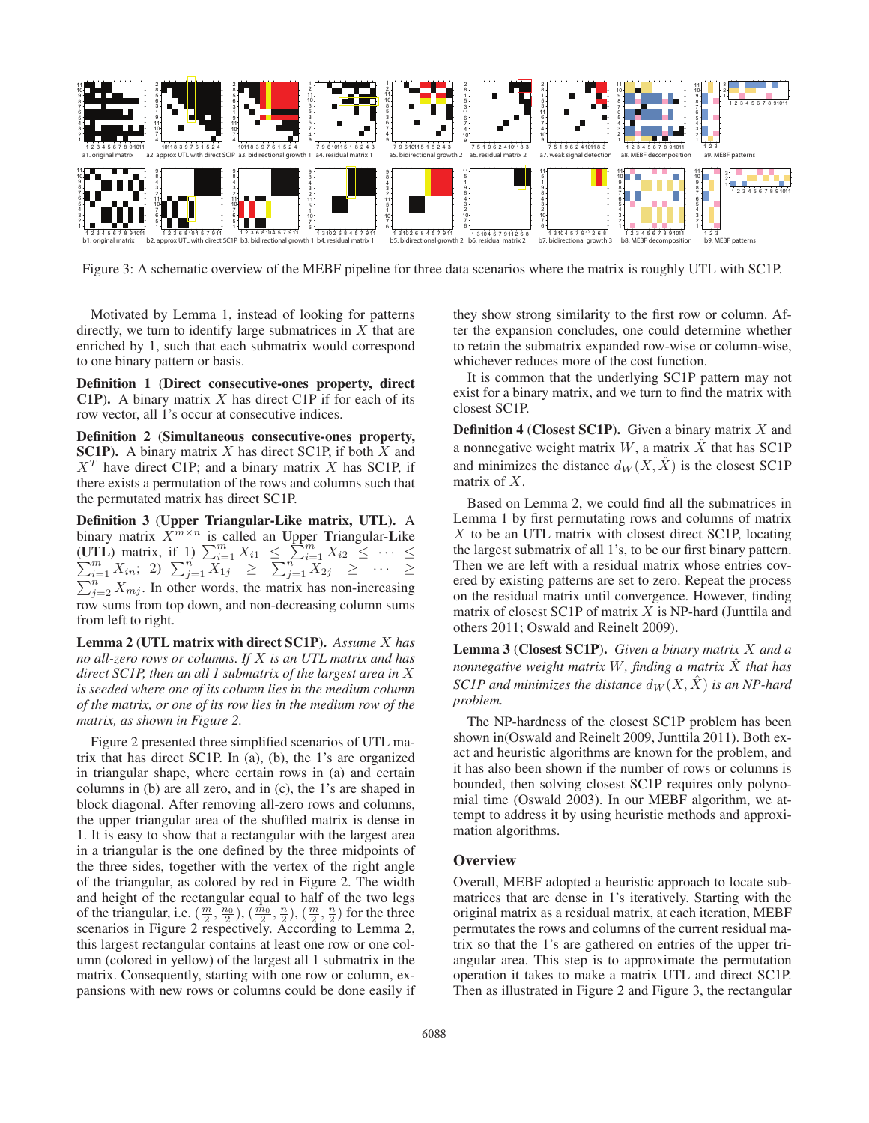

Figure 3: A schematic overview of the MEBF pipeline for three data scenarios where the matrix is roughly UTL with SC1P.

Motivated by Lemma 1, instead of looking for patterns directly, we turn to identify large submatrices in  $X$  that are enriched by 1, such that each submatrix would correspond to one binary pattern or basis.

Definition 1 (Direct consecutive-ones property, direct **C1P**). A binary matrix  $X$  has direct C1P if for each of its row vector, all 1's occur at consecutive indices.

Definition 2 (Simultaneous consecutive-ones property, SC1P). A binary matrix  $X$  has direct SC1P, if both  $X$  and  $X<sup>T</sup>$  have direct C1P; and a binary matrix X has SC1P, if there exists a permutation of the rows and columns such that the permutated matrix has direct SC1P.

Definition 3 (Upper Triangular-Like matrix, UTL). A binary matrix  $X^{m \times n}$  is called an Upper Triangular-Like (UTL) matrix, if 1)  $\sum_{i=1}^{m} X_{i1} \le \sum_{i=1}^{m}$ (UTL) matrix, if 1)  $\sum_{i=1}^{m} X_{i1} \leq \sum_{i=1}^{m} X_{i2} \leq \cdots \leq \sum_{i=1}^{m} X_{in}$ ; 2)  $\sum_{i=1}^{n} X_{1i} \geq \sum_{i=1}^{n} X_{2i} \geq \cdots \geq \sum_{i=1}^{n} X_{2i}$  $\sum_{i=1}^{m} X_{in};$  2)  $\sum_{j=1}^{n} X_{1j} \geq \sum_{j=1}^{n} X_{2j} \geq \cdots \geq$  $\sum_{j=2}^{n} X_{mj}$ . In other words, the matrix has non-increasing row sums from top down, and non-decreasing column sums from left to right.

Lemma 2 (UTL matrix with direct SC1P). *Assume* X *has no all-zero rows or columns. If* X *is an UTL matrix and has direct SC1P, then an all 1 submatrix of the largest area in* X *is seeded where one of its column lies in the medium column of the matrix, or one of its row lies in the medium row of the matrix, as shown in Figure 2.*

Figure 2 presented three simplified scenarios of UTL matrix that has direct SC1P. In (a), (b), the 1's are organized in triangular shape, where certain rows in (a) and certain columns in (b) are all zero, and in (c), the 1's are shaped in block diagonal. After removing all-zero rows and columns, the upper triangular area of the shuffled matrix is dense in 1. It is easy to show that a rectangular with the largest area in a triangular is the one defined by the three midpoints of the three sides, together with the vertex of the right angle of the triangular, as colored by red in Figure 2. The width and height of the rectangular equal to half of the two legs of the triangular, i.e.  $(\frac{m}{2}, \frac{n_0}{2}), (\frac{n_0}{2}, \frac{n}{2}), (\frac{m}{2}, \frac{n}{2})$  for the three<br>scenarios in Figure 2 respectively. According to Lemma 2 scenarios in Figure 2 respectively. According to Lemma 2, this largest rectangular contains at least one row or one column (colored in yellow) of the largest all 1 submatrix in the matrix. Consequently, starting with one row or column, expansions with new rows or columns could be done easily if

they show strong similarity to the first row or column. After the expansion concludes, one could determine whether to retain the submatrix expanded row-wise or column-wise, whichever reduces more of the cost function.

It is common that the underlying SC1P pattern may not exist for a binary matrix, and we turn to find the matrix with closest SC1P.

**Definition 4 (Closest SC1P).** Given a binary matrix  $X$  and a nonnegative weight matrix  $W$ , a matrix  $X$  that has SC1P and minimizes the distance  $d_W(X, \hat{X})$  is the closest SC1P matrix of X.

Based on Lemma 2, we could find all the submatrices in Lemma 1 by first permutating rows and columns of matrix X to be an UTL matrix with closest direct SC1P, locating the largest submatrix of all 1's, to be our first binary pattern. Then we are left with a residual matrix whose entries covered by existing patterns are set to zero. Repeat the process on the residual matrix until convergence. However, finding matrix of closest SC1P of matrix  $X$  is NP-hard (Junttila and others 2011; Oswald and Reinelt 2009).

Lemma 3 (Closest SC1P). *Given a binary matrix* X *and a nonnegative weight matrix* <sup>W</sup>*, finding a matrix* <sup>X</sup><sup>ˆ</sup> *that has SC1P and minimizes the distance*  $d_W(X, \hat{X})$  *is an NP-hard problem.*

The NP-hardness of the closest SC1P problem has been shown in(Oswald and Reinelt 2009, Junttila 2011). Both exact and heuristic algorithms are known for the problem, and it has also been shown if the number of rows or columns is bounded, then solving closest SC1P requires only polynomial time (Oswald 2003). In our MEBF algorithm, we attempt to address it by using heuristic methods and approximation algorithms.

### **Overview**

Overall, MEBF adopted a heuristic approach to locate submatrices that are dense in 1's iteratively. Starting with the original matrix as a residual matrix, at each iteration, MEBF permutates the rows and columns of the current residual matrix so that the 1's are gathered on entries of the upper triangular area. This step is to approximate the permutation operation it takes to make a matrix UTL and direct SC1P. Then as illustrated in Figure 2 and Figure 3, the rectangular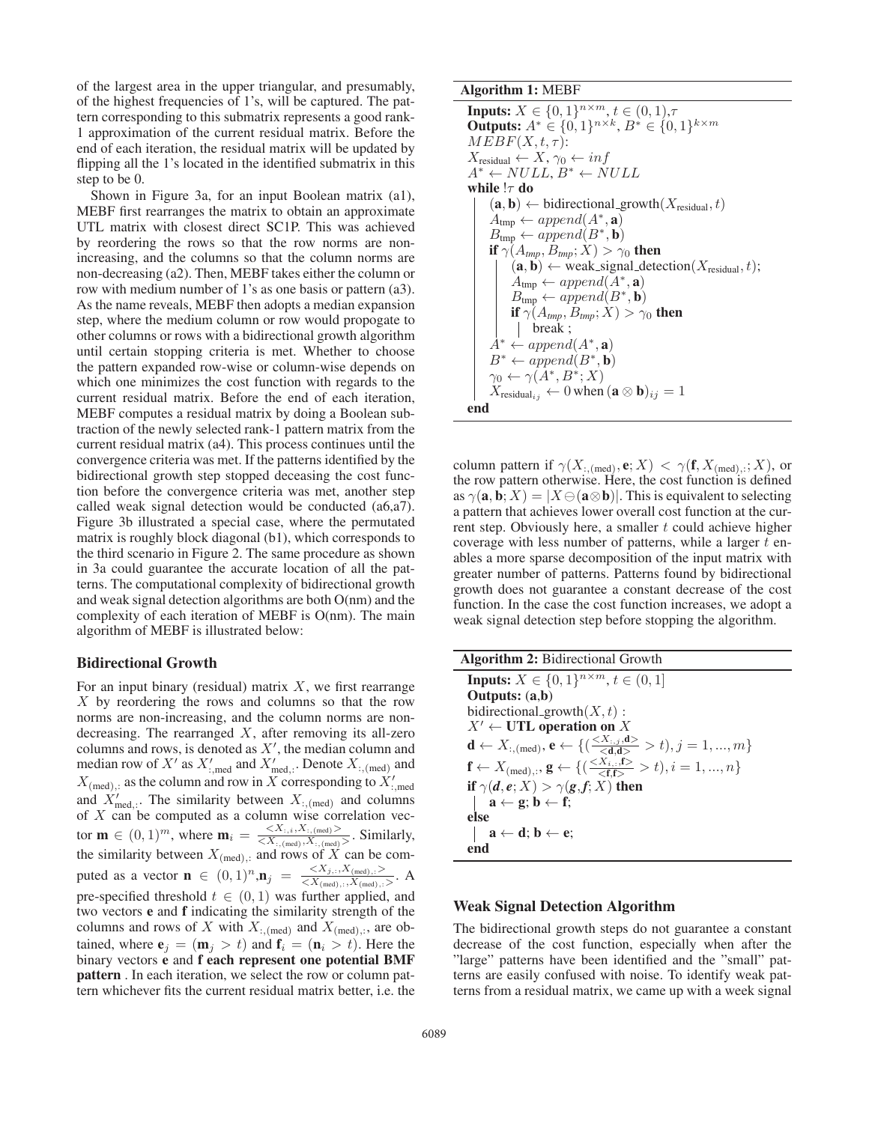of the largest area in the upper triangular, and presumably, of the highest frequencies of 1's, will be captured. The pattern corresponding to this submatrix represents a good rank-1 approximation of the current residual matrix. Before the end of each iteration, the residual matrix will be updated by flipping all the 1's located in the identified submatrix in this step to be 0.

Shown in Figure 3a, for an input Boolean matrix (a1), MEBF first rearranges the matrix to obtain an approximate UTL matrix with closest direct SC1P. This was achieved by reordering the rows so that the row norms are nonincreasing, and the columns so that the column norms are non-decreasing (a2). Then, MEBF takes either the column or row with medium number of 1's as one basis or pattern (a3). As the name reveals, MEBF then adopts a median expansion step, where the medium column or row would propogate to other columns or rows with a bidirectional growth algorithm until certain stopping criteria is met. Whether to choose the pattern expanded row-wise or column-wise depends on which one minimizes the cost function with regards to the current residual matrix. Before the end of each iteration, MEBF computes a residual matrix by doing a Boolean subtraction of the newly selected rank-1 pattern matrix from the current residual matrix (a4). This process continues until the convergence criteria was met. If the patterns identified by the bidirectional growth step stopped deceasing the cost function before the convergence criteria was met, another step called weak signal detection would be conducted (a6,a7). Figure 3b illustrated a special case, where the permutated matrix is roughly block diagonal (b1), which corresponds to the third scenario in Figure 2. The same procedure as shown in 3a could guarantee the accurate location of all the patterns. The computational complexity of bidirectional growth and weak signal detection algorithms are both O(nm) and the complexity of each iteration of MEBF is O(nm). The main algorithm of MEBF is illustrated below:

### Bidirectional Growth

For an input binary (residual) matrix  $X$ , we first rearrange  $X$  by reordering the rows and columns so that the row norms are non-increasing, and the column norms are nondecreasing. The rearranged  $X$ , after removing its all-zero columns and rows, is denoted as  $X'$ , the median column and median row of  $X'$  as  $X'_{:, \text{med}}$  and  $X'_{\text{med}, :}$ . Denote  $X_{:, \text{med}}$  and  $X_{(\text{med})}$ , as the column and row in X corresponding to  $X'_{\text{mod}}$ and  $X'_{\text{med}}$ . The similarity between  $X_{:, \text{(med)}}$  and columns of  $X$  can be computed as a column wise correlation vector  $\mathbf{m} \in (0, 1)^m$ , where  $\mathbf{m}_i = \frac{\langle X_{:, i}, X_{:, (\text{med})}\rangle}{\langle X_{:, (\text{med})}, X_{:, (\text{med})}\rangle}$ . Similarly, the similarity between  $X_{(\text{med})}$ , and rows of X can be computed as a vector **n** ∈  $(0, 1)^n$ ,**n**<sub>j</sub> =  $\frac{< X_{j,:}, X_{(\text{med}),,:} >}{< X_{(\text{med}),,:} >}$ . A pre-specified threshold  $t \in (0, 1)$  was further applied, and two vectors e and f indicating the similarity strength of the columns and rows of X with  $X_{:, \text{(med)}}$  and  $X_{(\text{med}),:}$ , are obtained, where  $\mathbf{e}_i = (\mathbf{m}_i > t)$  and  $\mathbf{f}_i = (\mathbf{n}_i > t)$ . Here the binary vectors e and f each represent one potential BMF pattern . In each iteration, we select the row or column pattern whichever fits the current residual matrix better, i.e. the

### Algorithm 1: MEBF

```
Inputs: X \in \{0, 1\}^{n \times m}, t \in (0, 1), \tauOutputs: A^* ∈ {0, 1}<sup>n × k</sup>, B^* ∈ {0, 1}<sup>k × m</sup>
MEBF(X, t, \tau):
X_{\text{residual}} \leftarrow X, \gamma_0 \leftarrow infA^* \leftarrow NULL, B^* \leftarrow NULLwhile !\tau do
       (a, b) \leftarrow \text{bidirectional\_growth}(X_{\text{residual}}, t)A_{\text{tmp}} \leftarrow append(A^*, \mathbf{a})B_{\text{tmp}} \leftarrow append(B^*, \mathbf{b})if \gamma(A_{\text{tmp}}, B_{\text{tmp}}; X) > \gamma_0 then
              (a, b) \leftarrow weak_signal_detection(X_{\text{residual}}, t);
              A_{\text{tmp}} \leftarrow append(A^*, \mathbf{a})B_{\text{tmp}} \leftarrow append(B^*, \mathbf{b})<br>if \gamma(A_{\text{temp}} | B_{\text{temp}} \cdot X) > \gammaif \gamma(A_{tmp}, B_{tmp}; X) > \gamma_0 then<br>
\longmapsto break :
               break ;
       A^* \leftarrow append(A^*, \mathbf{a})B^* \leftarrow append(B^*, \mathbf{b})\gamma_0 \leftarrow \gamma(A^*, B^*; X)X_{\text{residual}_{ij}} \leftarrow 0 when (\mathbf{a} \otimes \mathbf{b})_{ij} = 1end
```
column pattern if  $\gamma(X_{:, \text{(med)}}, \mathbf{e}; X) < \gamma(\mathbf{f}, X_{(\text{med}), :}; X)$ , or the row pattern otherwise. Here, the cost function is defined as  $\gamma(\mathbf{a}, \mathbf{b}; X) = |X \ominus (\mathbf{a} \otimes \mathbf{b})|$ . This is equivalent to selecting a pattern that achieves lower overall cost function at the current step. Obviously here, a smaller  $t$  could achieve higher coverage with less number of patterns, while a larger  $t$  enables a more sparse decomposition of the input matrix with greater number of patterns. Patterns found by bidirectional growth does not guarantee a constant decrease of the cost function. In the case the cost function increases, we adopt a weak signal detection step before stopping the algorithm.

| <b>Algorithm 2: Bidirectional Growth</b>                                                                                                         |
|--------------------------------------------------------------------------------------------------------------------------------------------------|
| <b>Inputs:</b> $X \in \{0,1\}^{n \times m}, t \in (0,1]$                                                                                         |
| Outputs: $(a,b)$                                                                                                                                 |
| bidirectional_growth $(X, t)$ :                                                                                                                  |
| $X' \leftarrow$ UTL operation on X                                                                                                               |
| $\mathbf{d} \leftarrow X_{:, (\text{med})}, \mathbf{e} \leftarrow \{(\frac{< X_{:,j}, \mathbf{d}>}{< \mathbf{d} \mathbf{d}>} > t), j = 1, , m\}$ |
| $\mathbf{f} \leftarrow X_{(\text{med}),:}, \mathbf{g} \leftarrow \{(\textstyle\frac{}{<\mathbf{f} \, \uparrow>} > t), i=1,,n\}$                  |
| if $\gamma(d, e; X) > \gamma(g, f; X)$ then                                                                                                      |
| $a \leftarrow g$ ; $b \leftarrow f$ ;                                                                                                            |
| else                                                                                                                                             |
| $a \leftarrow d; b \leftarrow e;$                                                                                                                |
| end                                                                                                                                              |

#### Weak Signal Detection Algorithm

The bidirectional growth steps do not guarantee a constant decrease of the cost function, especially when after the "large" patterns have been identified and the "small" patterns are easily confused with noise. To identify weak patterns from a residual matrix, we came up with a week signal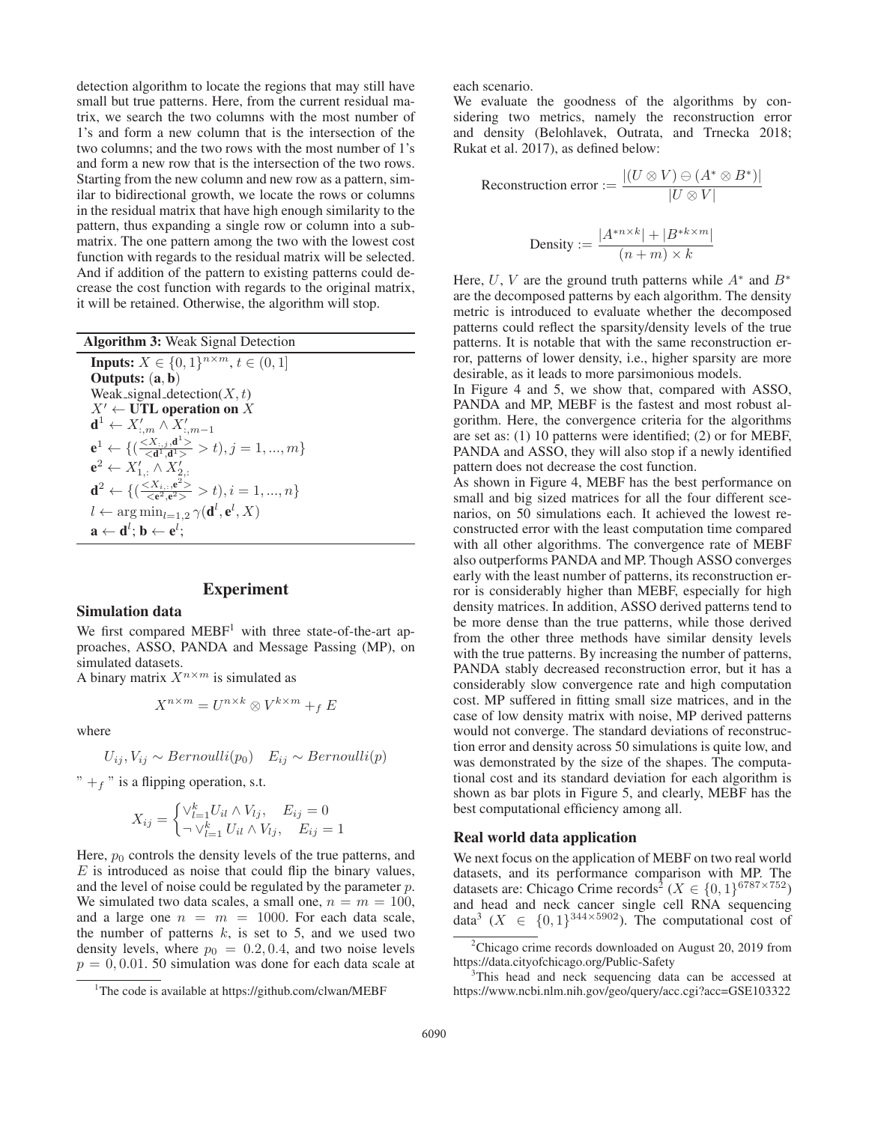detection algorithm to locate the regions that may still have small but true patterns. Here, from the current residual matrix, we search the two columns with the most number of 1's and form a new column that is the intersection of the two columns; and the two rows with the most number of 1's and form a new row that is the intersection of the two rows. Starting from the new column and new row as a pattern, similar to bidirectional growth, we locate the rows or columns in the residual matrix that have high enough similarity to the pattern, thus expanding a single row or column into a submatrix. The one pattern among the two with the lowest cost function with regards to the residual matrix will be selected. And if addition of the pattern to existing patterns could decrease the cost function with regards to the original matrix, it will be retained. Otherwise, the algorithm will stop.

Algorithm 3: Weak Signal Detection **Inputs:**  $X \in \{0, 1\}^{n \times m}, t \in (0, 1]$ Outputs: (a, <sup>b</sup>) Weak\_signal\_detection $(X, t)$  $X' \leftarrow$  UTL operation on X  $\mathbf{d}^1 \leftarrow X_{:,m}^{\prime} \wedge \boldsymbol{X}_{:,m-1}^{\prime}$  $e^1 \leftarrow \{(\frac{\leq X_{:,j}, d^1>}{\leq d^1, d^1>} > t), j = 1, ..., m\}$ <br>  $e^2 \leftarrow X'_{1,:} \wedge X'_{2,:}$  $\mathbf{d}^2 \leftarrow \{ (\frac{< X_i, \mathbf{e}^2>}{< \mathbf{e}^2, \mathbf{e}^2>} > t), i = 1, ..., n \}$  $l \leftarrow \arg\min_{l=1,2} \gamma(\mathbf{d}^l, \mathbf{e}^l, X)$  $\mathbf{a} \leftarrow \mathbf{d}^l; \mathbf{b} \leftarrow \mathbf{e}^l;$ 

## Experiment

### Simulation data

We first compared MEBF<sup>1</sup> with three state-of-the-art approaches, ASSO, PANDA and Message Passing (MP), on simulated datasets.

A binary matrix  $X^{n \times m}$  is simulated as

$$
X^{n \times m} = U^{n \times k} \otimes V^{k \times m} +_f E
$$

where

$$
U_{ij}, V_{ij} \sim Bernoulli(p_0) \quad E_{ij} \sim Bernoulli(p)
$$

 $" +f"$  is a flipping operation, s.t.

$$
X_{ij} = \begin{cases} \vee_{l=1}^{k} U_{il} \wedge V_{lj}, & E_{ij} = 0\\ \neg \vee_{l=1}^{k} U_{il} \wedge V_{lj}, & E_{ij} = 1 \end{cases}
$$

Here,  $p_0$  controls the density levels of the true patterns, and  $E$  is introduced as noise that could flip the binary values, and the level of noise could be regulated by the parameter  $p$ . We simulated two data scales, a small one,  $n = m = 100$ , and a large one  $n = m = 1000$ . For each data scale, the number of patterns  $k$ , is set to 5, and we used two density levels, where  $p_0 = 0.2, 0.4$ , and two noise levels  $p = 0, 0.01$ . 50 simulation was done for each data scale at each scenario.

We evaluate the goodness of the algorithms by considering two metrics, namely the reconstruction error and density (Belohlavek, Outrata, and Trnecka 2018; Rukat et al. 2017), as defined below:

Reconstruction error := 
$$
\frac{|(U \otimes V) \ominus (A^* \otimes B^*)|}{|U \otimes V|}
$$
  
Density := 
$$
\frac{|A^{*n \times k}| + |B^{*k \times m}|}{(n+m) \times k}
$$

Here, U, V are the ground truth patterns while  $A^*$  and  $B^*$ are the decomposed patterns by each algorithm. The density metric is introduced to evaluate whether the decomposed patterns could reflect the sparsity/density levels of the true patterns. It is notable that with the same reconstruction error, patterns of lower density, i.e., higher sparsity are more desirable, as it leads to more parsimonious models.

In Figure 4 and 5, we show that, compared with ASSO, PANDA and MP, MEBF is the fastest and most robust algorithm. Here, the convergence criteria for the algorithms are set as: (1) 10 patterns were identified; (2) or for MEBF, PANDA and ASSO, they will also stop if a newly identified pattern does not decrease the cost function.

As shown in Figure 4, MEBF has the best performance on small and big sized matrices for all the four different scenarios, on 50 simulations each. It achieved the lowest reconstructed error with the least computation time compared with all other algorithms. The convergence rate of MEBF also outperforms PANDA and MP. Though ASSO converges early with the least number of patterns, its reconstruction error is considerably higher than MEBF, especially for high density matrices. In addition, ASSO derived patterns tend to be more dense than the true patterns, while those derived from the other three methods have similar density levels with the true patterns. By increasing the number of patterns, PANDA stably decreased reconstruction error, but it has a considerably slow convergence rate and high computation cost. MP suffered in fitting small size matrices, and in the case of low density matrix with noise, MP derived patterns would not converge. The standard deviations of reconstruction error and density across 50 simulations is quite low, and was demonstrated by the size of the shapes. The computational cost and its standard deviation for each algorithm is shown as bar plots in Figure 5, and clearly, MEBF has the best computational efficiency among all.

### Real world data application

We next focus on the application of MEBF on two real world datasets, and its performance comparison with MP. The datasets are: Chicago Crime records<sup>2</sup> ( $X \in \{0, 1\}^{6787 \times 752}$ ) and head and neck cancer single cell RNA sequencing data<sup>3</sup> ( $X \in \{0,1\}^{344\times5902}$ ). The computational cost of

<sup>&</sup>lt;sup>1</sup>The code is available at https://github.com/clwan/MEBF

<sup>&</sup>lt;sup>2</sup>Chicago crime records downloaded on August 20, 2019 from https://data.cityofchicago.org/Public-Safety

<sup>&</sup>lt;sup>3</sup>This head and neck sequencing data can be accessed at https://www.ncbi.nlm.nih.gov/geo/query/acc.cgi?acc=GSE103322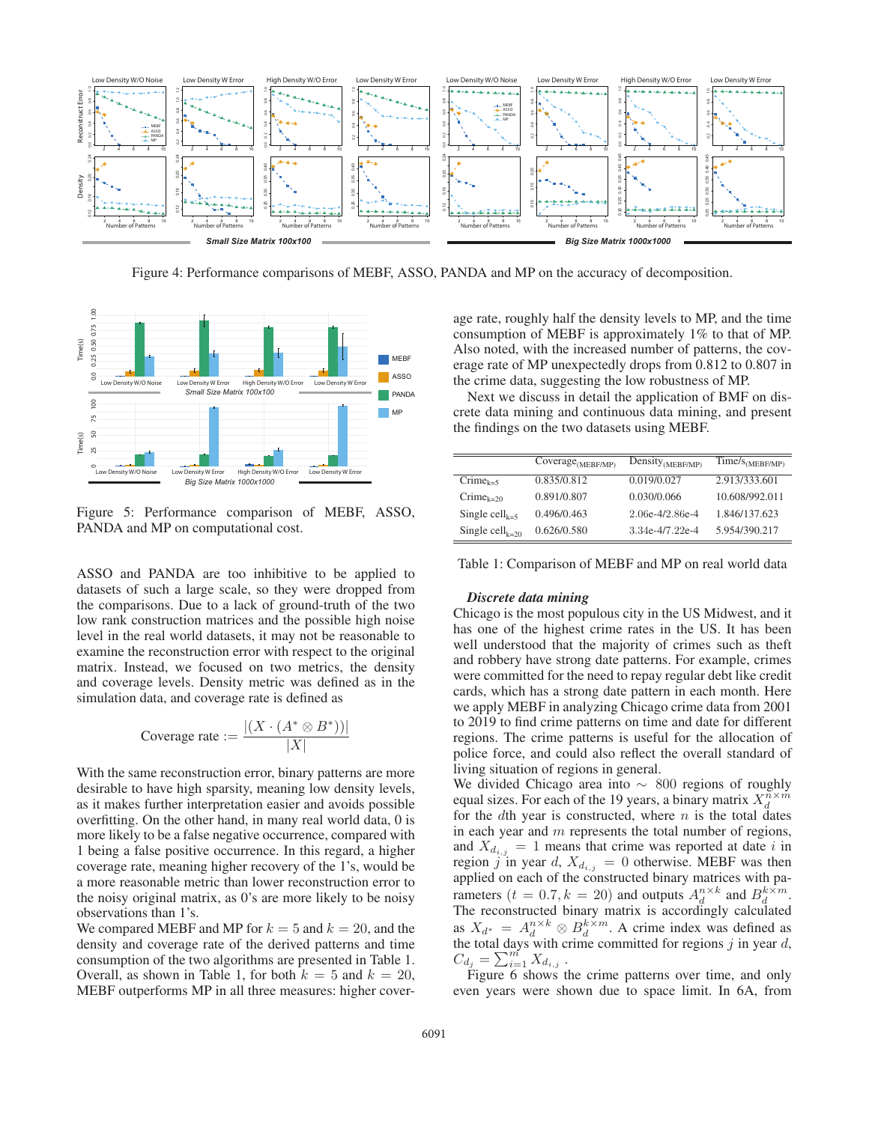

Figure 4: Performance comparisons of MEBF, ASSO, PANDA and MP on the accuracy of decomposition.



Figure 5: Performance comparison of MEBF, ASSO, PANDA and MP on computational cost.

ASSO and PANDA are too inhibitive to be applied to datasets of such a large scale, so they were dropped from the comparisons. Due to a lack of ground-truth of the two low rank construction matrices and the possible high noise level in the real world datasets, it may not be reasonable to examine the reconstruction error with respect to the original matrix. Instead, we focused on two metrics, the density and coverage levels. Density metric was defined as in the simulation data, and coverage rate is defined as

$$
\ \\{Cover 2 \text{ average rate} := \frac{|(X \cdot (A^* \otimes B^*))|}{|X|}
$$

With the same reconstruction error, binary patterns are more desirable to have high sparsity, meaning low density levels, as it makes further interpretation easier and avoids possible overfitting. On the other hand, in many real world data, 0 is more likely to be a false negative occurrence, compared with 1 being a false positive occurrence. In this regard, a higher coverage rate, meaning higher recovery of the 1's, would be a more reasonable metric than lower reconstruction error to the noisy original matrix, as 0's are more likely to be noisy observations than 1's.

We compared MEBF and MP for  $k = 5$  and  $k = 20$ , and the density and coverage rate of the derived patterns and time consumption of the two algorithms are presented in Table 1. Overall, as shown in Table 1, for both  $k = 5$  and  $k = 20$ , MEBF outperforms MP in all three measures: higher cover-

age rate, roughly half the density levels to MP, and the time consumption of MEBF is approximately 1% to that of MP. Also noted, with the increased number of patterns, the coverage rate of MP unexpectedly drops from 0.812 to 0.807 in the crime data, suggesting the low robustness of MP.

Next we discuss in detail the application of BMF on discrete data mining and continuous data mining, and present the findings on the two datasets using MEBF.

|                                         | $\text{Coverage}_{(MEBF/MP)}$ | Density <sub>(MEBF/MP)</sub> | $\overline{\text{Time}}/\text{s}_{(\text{MEBF/MP})}$ |
|-----------------------------------------|-------------------------------|------------------------------|------------------------------------------------------|
| $C$ rime <sub>k=5</sub>                 | 0.835/0.812                   | 0.019/0.027                  | 2.913/333.601                                        |
| $C$ rime <sub>k=20</sub>                | 0.891/0.807                   | 0.030/0.066                  | 10.608/992.011                                       |
| Single cell <sub><math>k-5</math></sub> | 0.496/0.463                   | 2.06e-4/2.86e-4              | 1.846/137.623                                        |
| Single cell <sub>k=20</sub>             | 0.626/0.580                   | 3.34e-4/7.22e-4              | 5.954/390.217                                        |

Table 1: Comparison of MEBF and MP on real world data

#### *Discrete data mining*

Chicago is the most populous city in the US Midwest, and it has one of the highest crime rates in the US. It has been well understood that the majority of crimes such as theft and robbery have strong date patterns. For example, crimes were committed for the need to repay regular debt like credit cards, which has a strong date pattern in each month. Here we apply MEBF in analyzing Chicago crime data from 2001 to 2019 to find crime patterns on time and date for different regions. The crime patterns is useful for the allocation of police force, and could also reflect the overall standard of living situation of regions in general.

We divided Chicago area into  $\sim 800$  regions of roughly equal sizes. For each of the 19 years, a binary matrix  $X_d^{n \times m}$ for the dth year is constructed, where  $n$  is the total dates in each year and  $m$  represents the total number of regions, and  $X_{d_{i,j}} = 1$  means that crime was reported at date i in region j in year d,  $X_{d_{i,j}} = 0$  otherwise. MEBF was then applied on each of the constructed binary matrices with parameters ( $t = 0.7, k = 20$ ) and outputs  $A_d^{n \times k}$  and  $B_d^{k \times m}$ .<br>The reconstructed binary matrix is accordingly calculated The reconstructed binary matrix is accordingly calculated as  $X_{d^*} = A_d^{n \times k} \otimes B_d^{k \times m}$ . A crime index was defined as the total days with crime committed for regions *i* in year *d*. the total days with crime committed for regions  $j$  in year  $d$ ,  $C_{d_j} = \sum_{i=1}^{m} X_{d_{i,j}}$ .<br>Figure 6 shows t

Figure 6 shows the crime patterns over time, and only even years were shown due to space limit. In 6A, from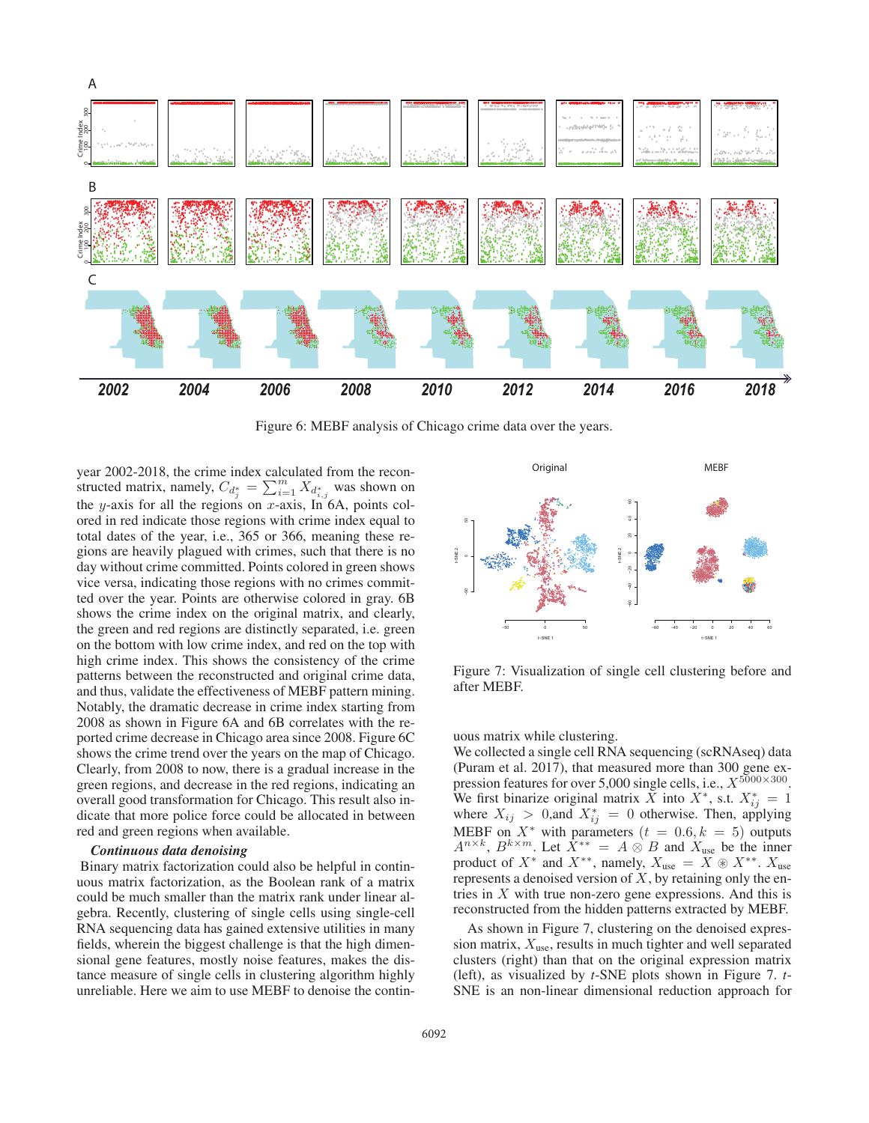

Figure 6: MEBF analysis of Chicago crime data over the years.

year 2002-2018, the crime index calculated from the reconstructed matrix, namely,  $C_{d_j^*} = \sum_{i=1}^m X_{d_{i,j}^*}$  was shown on<br>the *u* axis for all the regions on *x* axis In 6A, points col the y-axis for all the regions on x-axis, In  $6A$ , points colored in red indicate those regions with crime index equal to total dates of the year, i.e., 365 or 366, meaning these regions are heavily plagued with crimes, such that there is no day without crime committed. Points colored in green shows vice versa, indicating those regions with no crimes committed over the year. Points are otherwise colored in gray. 6B shows the crime index on the original matrix, and clearly, the green and red regions are distinctly separated, i.e. green on the bottom with low crime index, and red on the top with high crime index. This shows the consistency of the crime patterns between the reconstructed and original crime data, and thus, validate the effectiveness of MEBF pattern mining. Notably, the dramatic decrease in crime index starting from 2008 as shown in Figure 6A and 6B correlates with the reported crime decrease in Chicago area since 2008. Figure 6C shows the crime trend over the years on the map of Chicago. Clearly, from 2008 to now, there is a gradual increase in the green regions, and decrease in the red regions, indicating an overall good transformation for Chicago. This result also indicate that more police force could be allocated in between red and green regions when available.

### *Continuous data denoising*

Binary matrix factorization could also be helpful in continuous matrix factorization, as the Boolean rank of a matrix could be much smaller than the matrix rank under linear algebra. Recently, clustering of single cells using single-cell RNA sequencing data has gained extensive utilities in many fields, wherein the biggest challenge is that the high dimensional gene features, mostly noise features, makes the distance measure of single cells in clustering algorithm highly unreliable. Here we aim to use MEBF to denoise the contin-



Figure 7: Visualization of single cell clustering before and after MEBF.

uous matrix while clustering.

We collected a single cell RNA sequencing (scRNAseq) data (Puram et al. 2017), that measured more than 300 gene expression features for over 5,000 single cells, i.e.,  $X^{5000\times300}$ . We first binarize original matrix  $\overline{X}$  into  $\overline{X}^*$ , s.t.  $X^*_{ij} = 1$ <br>where  $X_{ij} > 0$ , and  $X^*_{ij} = 0$  otherwise. Then, applying<br>MEBE on  $X^*$  with parameters  $(t = 0.6, k = 5)$  outputs MEBF on  $X^*$  with parameters  $(t = 0.6, k = 5)$  outputs  $A^{n \times k}$ ,  $B^{k \times m}$ . Let  $\hat{X}^{**} = A \otimes B$  and  $X_{use}$  be the inner product of  $X^*$  and  $X^{**}$ , namely,  $X_{use} = \overline{X} \circledast X^{**}$ .  $X_{use}$  represents a denoised version of  $X$  by retaining only the enrepresents a denoised version of  $X$ , by retaining only the entries in  $X$  with true non-zero gene expressions. And this is reconstructed from the hidden patterns extracted by MEBF.

As shown in Figure 7, clustering on the denoised expression matrix,  $X_{use}$ , results in much tighter and well separated clusters (right) than that on the original expression matrix (left), as visualized by *t*-SNE plots shown in Figure 7. *t*-SNE is an non-linear dimensional reduction approach for